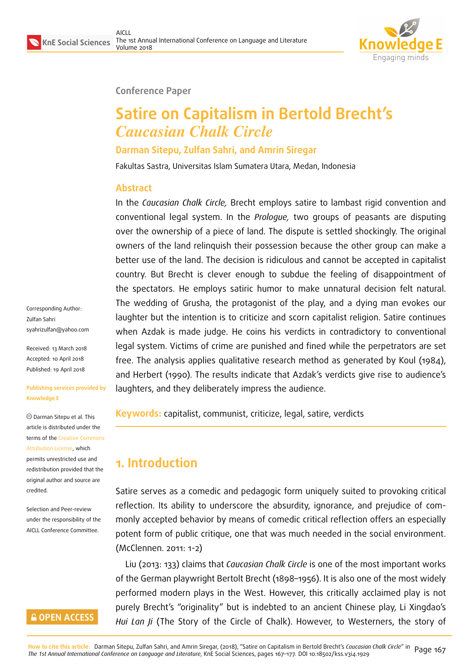

#### **Conference Paper**

# **Satire on Capitalism in Bertold Brecht's** *Caucasian Chalk Circle*

**Darman Sitepu, Zulfan Sahri, and Amrin Siregar**

Fakultas Sastra, Universitas Islam Sumatera Utara, Medan, Indonesia

### **Abstract**

In the *Caucasian Chalk Circle,* Brecht employs satire to lambast rigid convention and conventional legal system. In the *Prologue,* two groups of peasants are disputing over the ownership of a piece of land. The dispute is settled shockingly. The original owners of the land relinquish their possession because the other group can make a better use of the land. The decision is ridiculous and cannot be accepted in capitalist country. But Brecht is clever enough to subdue the feeling of disappointment of the spectators. He employs satiric humor to make unnatural decision felt natural. The wedding of Grusha, the protagonist of the play, and a dying man evokes our laughter but the intention is to criticize and scorn capitalist religion. Satire continues when Azdak is made judge. He coins his verdicts in contradictory to conventional legal system. Victims of crime are punished and fined while the perpetrators are set free. The analysis applies qualitative research method as generated by Koul (1984), and Herbert (1990). The results indicate that Azdak's verdicts give rise to audience's laughters, and they deliberately impress the audience.

**Keywords:** capitalist, communist, criticize, legal, satire, verdicts

## **1. Introduction**

Satire serves as a comedic and pedagogic form uniquely suited to provoking critical reflection. Its ability to underscore the absurdity, ignorance, and prejudice of commonly accepted behavior by means of comedic critical reflection offers an especially potent form of public critique, one that was much needed in the social environment. (McClennen. 2011: 1-2)

Liu (2013: 133) claims that *Caucasian Chalk Circle* is one of the most important works of the German playwright Bertolt Brecht (1898–1956). It is also one of the most widely performed modern plays in the West. However, this critically acclaimed play is not purely Brecht's "originality" but is indebted to an ancient Chinese play, Li Xingdao's *Hui Lan Ji* (The Story of the Circle of Chalk). However, to Westerners, the story of

Corresponding Author: Zulfan Sahri syahrizulfan@yahoo.com

Received: 13 March 2018 Accepted: 10 April 2018 [Published: 19 April 2018](mailto:syahrizulfan@yahoo.com)

#### **Publishing services provided by Knowledge E**

Darman Sitepu et al. This article is distributed under the terms of the Creative Commons Attribution License, which permits unrestricted use and redistribution provided that the original auth[or and source are](https://creativecommons.org/licenses/by/4.0/) [credited.](https://creativecommons.org/licenses/by/4.0/)

Selection and Peer-review under the responsibility of the AICLL Conference Committee.

### **GOPEN ACCESS**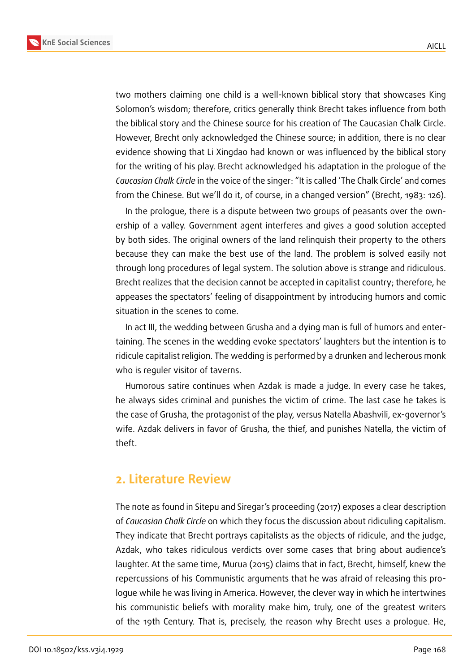**KnE Social Sciences**



two mothers claiming one child is a well-known biblical story that showcases King Solomon's wisdom; therefore, critics generally think Brecht takes influence from both the biblical story and the Chinese source for his creation of The Caucasian Chalk Circle. However, Brecht only acknowledged the Chinese source; in addition, there is no clear evidence showing that Li Xingdao had known or was influenced by the biblical story for the writing of his play. Brecht acknowledged his adaptation in the prologue of the *Caucasian Chalk Circle* in the voice of the singer: "It is called 'The Chalk Circle' and comes from the Chinese. But we'll do it, of course, in a changed version" (Brecht, 1983: 126).

In the prologue, there is a dispute between two groups of peasants over the ownership of a valley. Government agent interferes and gives a good solution accepted by both sides. The original owners of the land relinquish their property to the others because they can make the best use of the land. The problem is solved easily not through long procedures of legal system. The solution above is strange and ridiculous. Brecht realizes that the decision cannot be accepted in capitalist country; therefore, he appeases the spectators' feeling of disappointment by introducing humors and comic situation in the scenes to come.

In act III, the wedding between Grusha and a dying man is full of humors and entertaining. The scenes in the wedding evoke spectators' laughters but the intention is to ridicule capitalist religion. The wedding is performed by a drunken and lecherous monk who is reguler visitor of taverns.

Humorous satire continues when Azdak is made a judge. In every case he takes, he always sides criminal and punishes the victim of crime. The last case he takes is the case of Grusha, the protagonist of the play, versus Natella Abashvili, ex-governor's wife. Azdak delivers in favor of Grusha, the thief, and punishes Natella, the victim of theft.

### **2. Literature Review**

The note as found in Sitepu and Siregar's proceeding (2017) exposes a clear description of *Caucasian Chalk Circle* on which they focus the discussion about ridiculing capitalism. They indicate that Brecht portrays capitalists as the objects of ridicule, and the judge, Azdak, who takes ridiculous verdicts over some cases that bring about audience's laughter. At the same time, Murua (2015) claims that in fact, Brecht, himself, knew the repercussions of his Communistic arguments that he was afraid of releasing this prologue while he was living in America. However, the clever way in which he intertwines his communistic beliefs with morality make him, truly, one of the greatest writers of the 19th Century. That is, precisely, the reason why Brecht uses a prologue. He,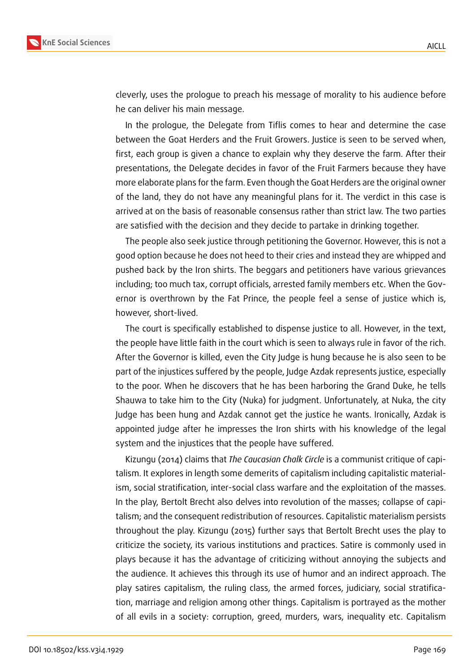

cleverly, uses the prologue to preach his message of morality to his audience before he can deliver his main message.

In the prologue, the Delegate from Tiflis comes to hear and determine the case between the Goat Herders and the Fruit Growers. Justice is seen to be served when, first, each group is given a chance to explain why they deserve the farm. After their presentations, the Delegate decides in favor of the Fruit Farmers because they have more elaborate plans for the farm. Even though the Goat Herders are the original owner of the land, they do not have any meaningful plans for it. The verdict in this case is arrived at on the basis of reasonable consensus rather than strict law. The two parties are satisfied with the decision and they decide to partake in drinking together.

The people also seek justice through petitioning the Governor. However, this is not a good option because he does not heed to their cries and instead they are whipped and pushed back by the Iron shirts. The beggars and petitioners have various grievances including; too much tax, corrupt officials, arrested family members etc. When the Governor is overthrown by the Fat Prince, the people feel a sense of justice which is, however, short-lived.

The court is specifically established to dispense justice to all. However, in the text, the people have little faith in the court which is seen to always rule in favor of the rich. After the Governor is killed, even the City Judge is hung because he is also seen to be part of the injustices suffered by the people, Judge Azdak represents justice, especially to the poor. When he discovers that he has been harboring the Grand Duke, he tells Shauwa to take him to the City (Nuka) for judgment. Unfortunately, at Nuka, the city Judge has been hung and Azdak cannot get the justice he wants. Ironically, Azdak is appointed judge after he impresses the Iron shirts with his knowledge of the legal system and the injustices that the people have suffered.

Kizungu (2014) claims that *The Caucasian Chalk Circle* is a communist critique of capitalism. It explores in length some demerits of capitalism including capitalistic materialism, social stratification, inter-social class warfare and the exploitation of the masses. In the play, Bertolt Brecht also delves into revolution of the masses; collapse of capitalism; and the consequent redistribution of resources. Capitalistic materialism persists throughout the play. Kizungu (2015) further says that Bertolt Brecht uses the play to criticize the society, its various institutions and practices. Satire is commonly used in plays because it has the advantage of criticizing without annoying the subjects and the audience. It achieves this through its use of humor and an indirect approach. The play satires capitalism, the ruling class, the armed forces, judiciary, social stratification, marriage and religion among other things. Capitalism is portrayed as the mother of all evils in a society: corruption, greed, murders, wars, inequality etc. Capitalism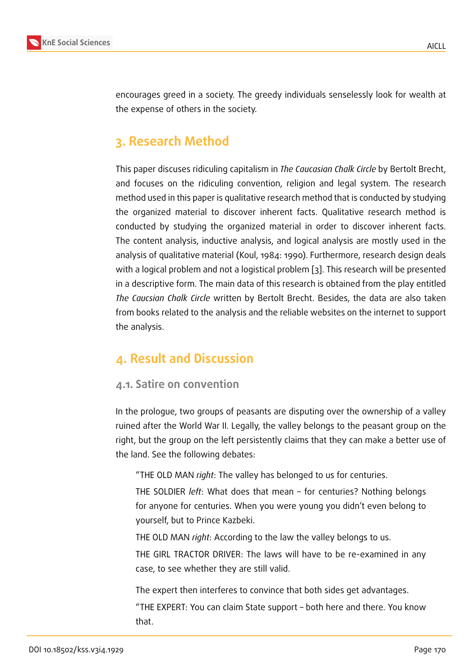encourages greed in a society. The greedy individuals senselessly look for wealth at the expense of others in the society.

### **3. Research Method**

This paper discuses ridiculing capitalism in *The Caucasian Chalk Circle* by Bertolt Brecht, and focuses on the ridiculing convention, religion and legal system. The research method used in this paper is qualitative research method that is conducted by studying the organized material to discover inherent facts. Qualitative research method is conducted by studying the organized material in order to discover inherent facts. The content analysis, inductive analysis, and logical analysis are mostly used in the analysis of qualitative material (Koul, 1984: 1990). Furthermore, research design deals with a logical problem and not a logistical problem [3]. This research will be presented in a descriptive form. The main data of this research is obtained from the play entitled *The Caucsian Chalk Circle* written by Bertolt Brecht. Besides, the data are also taken from books related to the analysis and the reliable [we](#page-10-0)bsites on the internet to support the analysis.

### **4. Result and Discussion**

### **4.1. Satire on convention**

In the prologue, two groups of peasants are disputing over the ownership of a valley ruined after the World War II. Legally, the valley belongs to the peasant group on the right, but the group on the left persistently claims that they can make a better use of the land. See the following debates:

"THE OLD MAN *right*: The valley has belonged to us for centuries.

THE SOLDIER *left*: What does that mean – for centuries? Nothing belongs for anyone for centuries. When you were young you didn't even belong to yourself, but to Prince Kazbeki.

THE OLD MAN *right*: According to the law the valley belongs to us.

THE GIRL TRACTOR DRIVER: The laws will have to be re-examined in any case, to see whether they are still valid.

The expert then interferes to convince that both sides get advantages. "THE EXPERT: You can claim State support – both here and there. You know that.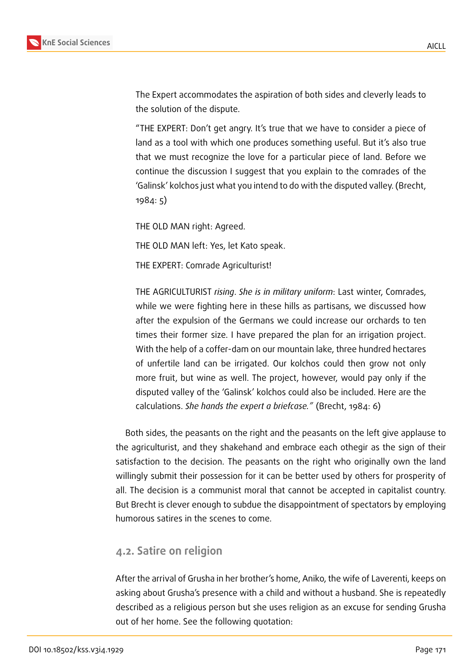

The Expert accommodates the aspiration of both sides and cleverly leads to the solution of the dispute.

"THE EXPERT: Don't get angry. It's true that we have to consider a piece of land as a tool with which one produces something useful. But it's also true that we must recognize the love for a particular piece of land. Before we continue the discussion I suggest that you explain to the comrades of the 'Galinsk' kolchos just what you intend to do with the disputed valley. (Brecht, 1984: 5)

THE OLD MAN right: Agreed.

THE OLD MAN left: Yes, let Kato speak.

THE EXPERT: Comrade Agriculturist!

THE AGRICULTURIST *rising*. *She is in military uniform*: Last winter, Comrades, while we were fighting here in these hills as partisans, we discussed how after the expulsion of the Germans we could increase our orchards to ten times their former size. I have prepared the plan for an irrigation project. With the help of a coffer-dam on our mountain lake, three hundred hectares of unfertile land can be irrigated. Our kolchos could then grow not only more fruit, but wine as well. The project, however, would pay only if the disputed valley of the 'Galinsk' kolchos could also be included. Here are the calculations. *She hands the expert a briefcase."* (Brecht, 1984: 6)

Both sides, the peasants on the right and the peasants on the left give applause to the agriculturist, and they shakehand and embrace each othegir as the sign of their satisfaction to the decision. The peasants on the right who originally own the land willingly submit their possession for it can be better used by others for prosperity of all. The decision is a communist moral that cannot be accepted in capitalist country. But Brecht is clever enough to subdue the disappointment of spectators by employing humorous satires in the scenes to come.

#### **4.2. Satire on religion**

After the arrival of Grusha in her brother's home, Aniko, the wife of Laverenti, keeps on asking about Grusha's presence with a child and without a husband. She is repeatedly described as a religious person but she uses religion as an excuse for sending Grusha out of her home. See the following quotation: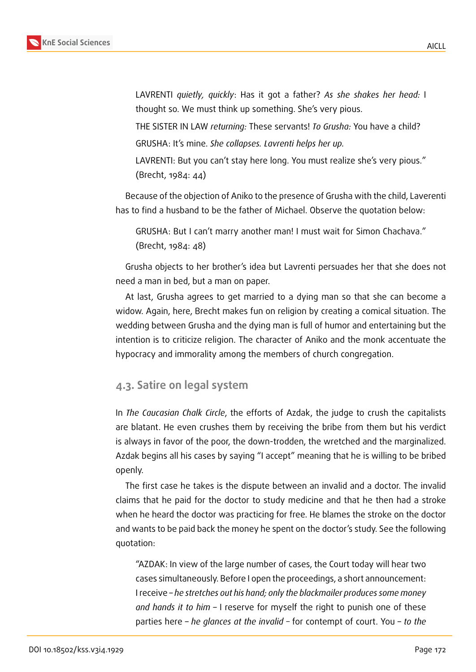

LAVRENTI *quietly, quickly*: Has it got a father? *As she shakes her head:* I thought so. We must think up something. She's very pious.

THE SISTER IN LAW *returning:* These servants! *To Grusha:* You have a child? GRUSHA: It's mine. *She collapses. Lavrenti helps her up.*

LAVRENTI: But you can't stay here long. You must realize she's very pious." (Brecht, 1984: 44)

Because of the objection of Aniko to the presence of Grusha with the child, Laverenti has to find a husband to be the father of Michael. Observe the quotation below:

GRUSHA: But I can't marry another man! I must wait for Simon Chachava." (Brecht, 1984: 48)

Grusha objects to her brother's idea but Lavrenti persuades her that she does not need a man in bed, but a man on paper.

At last, Grusha agrees to get married to a dying man so that she can become a widow. Again, here, Brecht makes fun on religion by creating a comical situation. The wedding between Grusha and the dying man is full of humor and entertaining but the intention is to criticize religion. The character of Aniko and the monk accentuate the hypocracy and immorality among the members of church congregation.

#### **4.3. Satire on legal system**

In *The Caucasian Chalk Circle*, the efforts of Azdak, the judge to crush the capitalists are blatant. He even crushes them by receiving the bribe from them but his verdict is always in favor of the poor, the down-trodden, the wretched and the marginalized. Azdak begins all his cases by saying "I accept" meaning that he is willing to be bribed openly.

The first case he takes is the dispute between an invalid and a doctor. The invalid claims that he paid for the doctor to study medicine and that he then had a stroke when he heard the doctor was practicing for free. He blames the stroke on the doctor and wants to be paid back the money he spent on the doctor's study. See the following quotation:

"AZDAK: In view of the large number of cases, the Court today will hear two cases simultaneously. Before I open the proceedings, a short announcement: I receive – *he stretches out his hand; only the blackmailer produces some money and hands it to him* – I reserve for myself the right to punish one of these parties here – *he glances at the invalid –* for contempt of court. You – *to the*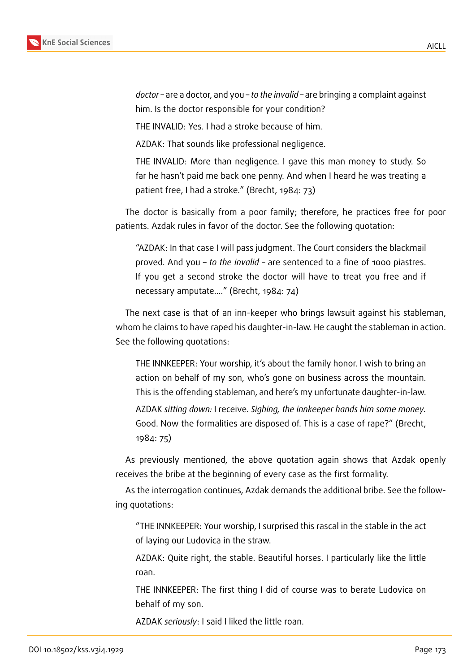

*doctor –* are a doctor, and you – *to the invalid –* are bringing a complaint against him. Is the doctor responsible for your condition?

THE INVALID: Yes. I had a stroke because of him.

AZDAK: That sounds like professional negligence.

THE INVALID: More than negligence. I gave this man money to study. So far he hasn't paid me back one penny. And when I heard he was treating a patient free, I had a stroke." (Brecht, 1984: 73)

The doctor is basically from a poor family; therefore, he practices free for poor patients. Azdak rules in favor of the doctor. See the following quotation:

"AZDAK: In that case I will pass judgment. The Court considers the blackmail proved. And you – *to the invalid –* are sentenced to a fine of 1000 piastres. If you get a second stroke the doctor will have to treat you free and if necessary amputate...." (Brecht, 1984: 74)

The next case is that of an inn-keeper who brings lawsuit against his stableman, whom he claims to have raped his daughter-in-law. He caught the stableman in action. See the following quotations:

THE INNKEEPER: Your worship, it's about the family honor. I wish to bring an action on behalf of my son, who's gone on business across the mountain. This is the offending stableman, and here's my unfortunate daughter-in-law.

AZDAK *sitting down:* I receive. *Sighing, the innkeeper hands him some money.* Good. Now the formalities are disposed of. This is a case of rape?" (Brecht, 1984: 75)

As previously mentioned, the above quotation again shows that Azdak openly receives the bribe at the beginning of every case as the first formality.

As the interrogation continues, Azdak demands the additional bribe. See the following quotations:

"THE INNKEEPER: Your worship, I surprised this rascal in the stable in the act of laying our Ludovica in the straw.

AZDAK: Quite right, the stable. Beautiful horses. I particularly like the little roan.

THE INNKEEPER: The first thing I did of course was to berate Ludovica on behalf of my son.

AZDAK *seriously*: I said I liked the little roan.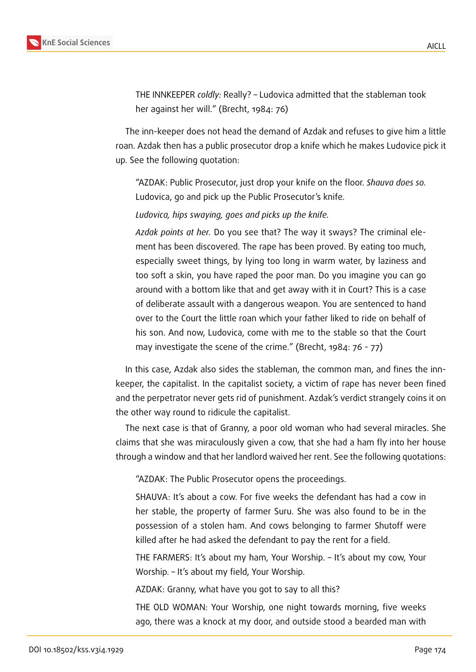

THE INNKEEPER *coldly:* Really? – Ludovica admitted that the stableman took her against her will." (Brecht, 1984: 76)

The inn-keeper does not head the demand of Azdak and refuses to give him a little roan. Azdak then has a public prosecutor drop a knife which he makes Ludovice pick it up. See the following quotation:

"AZDAK: Public Prosecutor, just drop your knife on the floor. *Shauva does so.* Ludovica, go and pick up the Public Prosecutor's knife.

*Ludovica, hips swaying, goes and picks up the knife.*

*Azdak points at her.* Do you see that? The way it sways? The criminal element has been discovered. The rape has been proved. By eating too much, especially sweet things, by lying too long in warm water, by laziness and too soft a skin, you have raped the poor man. Do you imagine you can go around with a bottom like that and get away with it in Court? This is a case of deliberate assault with a dangerous weapon. You are sentenced to hand over to the Court the little roan which your father liked to ride on behalf of his son. And now, Ludovica, come with me to the stable so that the Court may investigate the scene of the crime." (Brecht, 1984: 76 - 77)

In this case, Azdak also sides the stableman, the common man, and fines the innkeeper, the capitalist. In the capitalist society, a victim of rape has never been fined and the perpetrator never gets rid of punishment. Azdak's verdict strangely coins it on the other way round to ridicule the capitalist.

The next case is that of Granny, a poor old woman who had several miracles. She claims that she was miraculously given a cow, that she had a ham fly into her house through a window and that her landlord waived her rent. See the following quotations:

"AZDAK: The Public Prosecutor opens the proceedings.

SHAUVA: It's about a cow. For five weeks the defendant has had a cow in her stable, the property of farmer Suru. She was also found to be in the possession of a stolen ham. And cows belonging to farmer Shutoff were killed after he had asked the defendant to pay the rent for a field.

THE FARMERS: It's about my ham, Your Worship. – It's about my cow, Your Worship. – It's about my field, Your Worship.

AZDAK: Granny, what have you got to say to all this?

THE OLD WOMAN: Your Worship, one night towards morning, five weeks ago, there was a knock at my door, and outside stood a bearded man with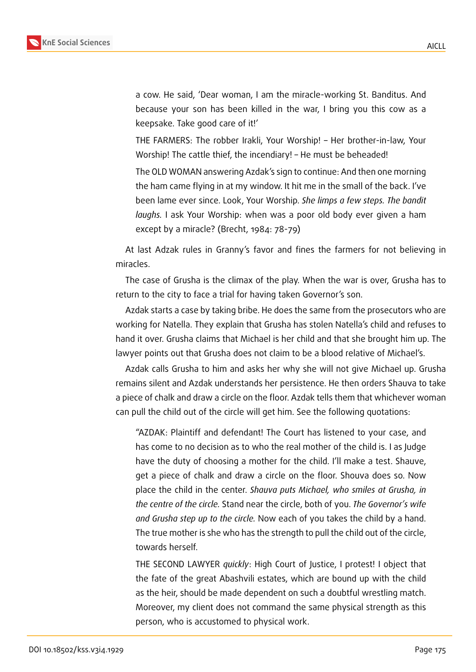

a cow. He said, 'Dear woman, I am the miracle-working St. Banditus. And because your son has been killed in the war, I bring you this cow as a keepsake. Take good care of it!'

THE FARMERS: The robber Irakli, Your Worship! – Her brother-in-law, Your Worship! The cattle thief, the incendiary! – He must be beheaded!

The OLD WOMAN answering Azdak's sign to continue: And then one morning the ham came flying in at my window. It hit me in the small of the back. I've been lame ever since. Look, Your Worship. *She limps a few steps. The bandit laughs.* I ask Your Worship: when was a poor old body ever given a ham except by a miracle? (Brecht, 1984: 78-79)

At last Adzak rules in Granny's favor and fines the farmers for not believing in miracles.

The case of Grusha is the climax of the play. When the war is over, Grusha has to return to the city to face a trial for having taken Governor's son.

Azdak starts a case by taking bribe. He does the same from the prosecutors who are working for Natella. They explain that Grusha has stolen Natella's child and refuses to hand it over. Grusha claims that Michael is her child and that she brought him up. The lawyer points out that Grusha does not claim to be a blood relative of Michael's.

Azdak calls Grusha to him and asks her why she will not give Michael up. Grusha remains silent and Azdak understands her persistence. He then orders Shauva to take a piece of chalk and draw a circle on the floor. Azdak tells them that whichever woman can pull the child out of the circle will get him. See the following quotations:

"AZDAK: Plaintiff and defendant! The Court has listened to your case, and has come to no decision as to who the real mother of the child is. I as Judge have the duty of choosing a mother for the child. I'll make a test. Shauve, get a piece of chalk and draw a circle on the floor. Shouva does so. Now place the child in the center. *Shauva puts Michael, who smiles at Grusha, in the centre of the circle.* Stand near the circle, both of you. *The Governor's wife and Grusha step up to the circle.* Now each of you takes the child by a hand. The true mother is she who has the strength to pull the child out of the circle, towards herself.

THE SECOND LAWYER *quickly*: High Court of Justice, I protest! I object that the fate of the great Abashvili estates, which are bound up with the child as the heir, should be made dependent on such a doubtful wrestling match. Moreover, my client does not command the same physical strength as this person, who is accustomed to physical work.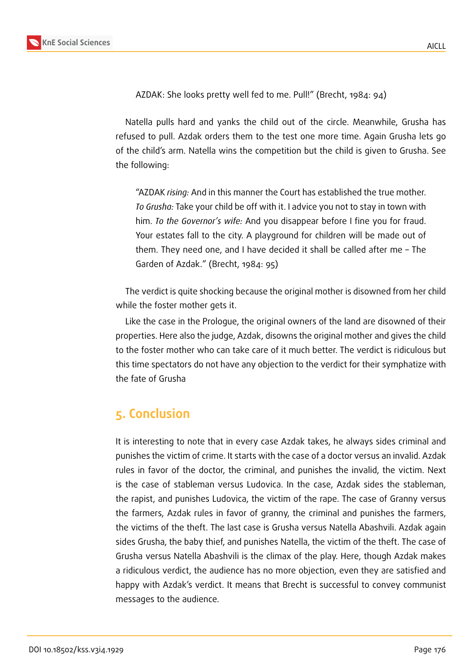

AZDAK: She looks pretty well fed to me. Pull!" (Brecht, 1984: 94)

Natella pulls hard and yanks the child out of the circle. Meanwhile, Grusha has refused to pull. Azdak orders them to the test one more time. Again Grusha lets go of the child's arm. Natella wins the competition but the child is given to Grusha. See the following:

"AZDAK *rising:* And in this manner the Court has established the true mother. *To Grusha:* Take your child be off with it. I advice you not to stay in town with him. *To the Governor's wife:* And you disappear before I fine you for fraud. Your estates fall to the city. A playground for children will be made out of them. They need one, and I have decided it shall be called after me – The Garden of Azdak." (Brecht, 1984: 95)

The verdict is quite shocking because the original mother is disowned from her child while the foster mother gets it.

Like the case in the Prologue, the original owners of the land are disowned of their properties. Here also the judge, Azdak, disowns the original mother and gives the child to the foster mother who can take care of it much better. The verdict is ridiculous but this time spectators do not have any objection to the verdict for their symphatize with the fate of Grusha

### **5. Conclusion**

It is interesting to note that in every case Azdak takes, he always sides criminal and punishes the victim of crime. It starts with the case of a doctor versus an invalid. Azdak rules in favor of the doctor, the criminal, and punishes the invalid, the victim. Next is the case of stableman versus Ludovica. In the case, Azdak sides the stableman, the rapist, and punishes Ludovica, the victim of the rape. The case of Granny versus the farmers, Azdak rules in favor of granny, the criminal and punishes the farmers, the victims of the theft. The last case is Grusha versus Natella Abashvili. Azdak again sides Grusha, the baby thief, and punishes Natella, the victim of the theft. The case of Grusha versus Natella Abashvili is the climax of the play. Here, though Azdak makes a ridiculous verdict, the audience has no more objection, even they are satisfied and happy with Azdak's verdict. It means that Brecht is successful to convey communist messages to the audience.